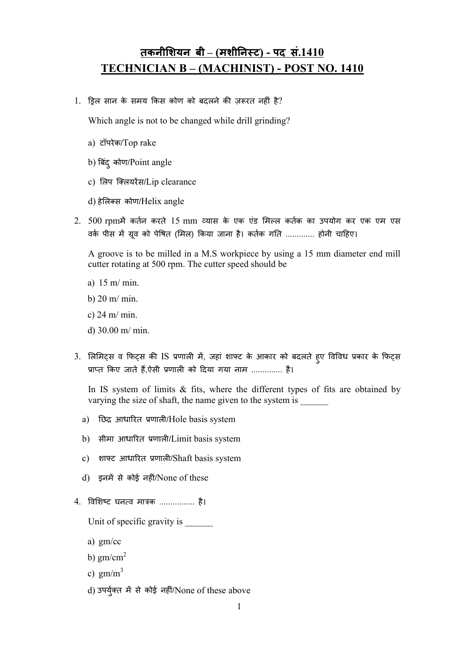## तकनीशियन बी – (मशीनिस्ट) - पद सं. $1410$ TECHNICIAN B – (MACHINIST) - POST NO. 1410

1. ड़िल सान के समय किस कोण को बदलने की ज़रूरत नहीं है?

Which angle is not to be changed while drill grinding?

- a) टॉपरेक/Top rake
- b) बिंदु कोण/Point angle
- c) लिप क्लियरेंस/Lip clearance
- d) हेलस कोण/Helix angle
- 2. 500 rpmमें कर्तन करते 15 mm व्यास के एक एंड मिल्ल कर्तक का उपयोग कर एक एम एस वके पीस में ग्रूव को पेषित (मिल) किया जाना है। कतेक गति ............. होनी चाहिए।

A groove is to be milled in a M.S workpiece by using a 15 mm diameter end mill cutter rotating at 500 rpm. The cutter speed should be

- a) 15 m/ min.
- b) 20 m/ min.
- c) 24 m/ min.
- d) 30.00 m/ min.
- 3. लिमिट्स व फिट्स की IS प्रणाली में, जहां शाफ्ट के आकार को बदलते हुए विविध प्रकार के फिट्स प्राप्त किए जाते हैं,ऐसी प्रणाली को दिया गया नाम .............. है।

In IS system of limits  $\&$  fits, where the different types of fits are obtained by varying the size of shaft, the name given to the system is  $\Box$ 

- a) छिद्र आधारित प्रणाली/Hole basis system
- b) सीमा आधारत णाल/Limit basis system
- c) शाफ्ट आधारित प्रणाली/Shaft basis system
- d) इनमें से कोई नहीं/None of these
- 4. विशिष्ट घनत्व मात्रक ................ है।

Unit of specific gravity is

- a) gm/cc
- b)  $gm/cm<sup>2</sup>$
- c)  $gm/m<sup>3</sup>$
- d) उपर्युक्त में से कोई नहीं/None of these above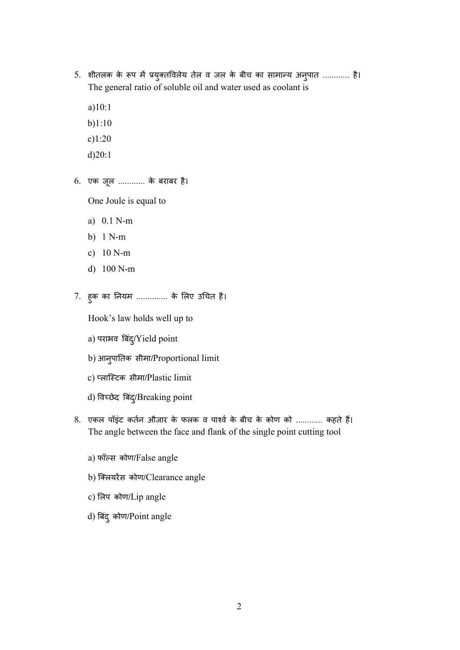- 5. शीतलक के रूप में प्रयुक्तविलेय तेल व जल के बीच का सामान्य अनुपात ............ है। The general ratio of soluble oil and water used as coolant is
	- a)10:1
	- b)1:10
	- c)1:20
	- d)20:1
- 6. एक जू ल ............ के बराबर है।

One Joule is equal to

- a) 0.1 N-m
- b) 1 N-m
- c) 10 N-m
- d) 100 N-m
- 7. हु क का नयम .............. के लए उचत है।

Hook's law holds well up to

- a) पराभव बिंद्/Yield point
- b) आनु पातक सीमा/Proportional limit
- c) लािटक सीमा/Plastic limit
- d) विच्छेद बिंदु/Breaking point
- 8. एकल पॉइंट कर्तन औजार के फलक व पार्श्व के बीच के कोण को ............ कहते हैं। The angle between the face and flank of the single point cutting tool
	- a) फॉस कोण/False angle
	- b) क्लियरेंस कोण/Clearance angle
	- c) लप कोण/Lip angle
	- d) बिंदु कोण/Point angle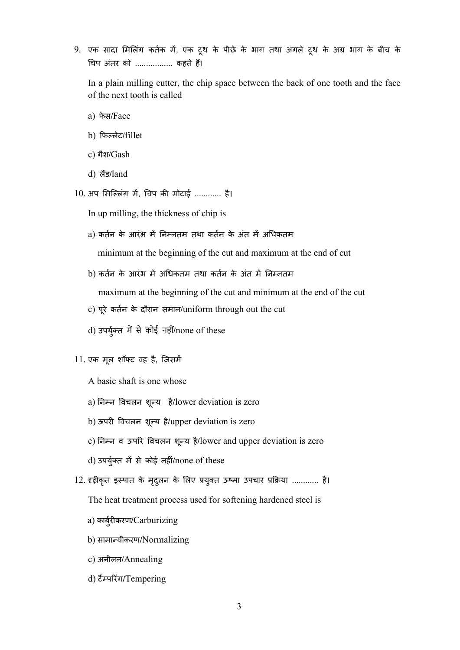9. एक सादा मिलिंग कर्तक में, एक टूथ के पीछे के भाग तथा अगले टूथ के अग्र भाग के बीच के चप अंतर को ................. कहते ह।

In a plain milling cutter, the chip space between the back of one tooth and the face of the next tooth is called

- a) फेस/Face
- b) फलेट/fillet
- c) गैश/Gash
- d) **ਗੋਂਤ/land**
- $10.3$ गप मिल्लिंग में, चिप की मोटाई ............ है।
	- In up milling, the thickness of chip is
	- a) कर्तन के आरंभ में निम्नतम तथा कर्तन के अंत में अधिकतम

minimum at the beginning of the cut and maximum at the end of cut

b) कर्तन के आरंभ में अधिकतम तथा कर्तन के अंत में निम्नतम

maximum at the beginning of the cut and minimum at the end of the cut

- c) पू रे कतन के दौरान समान/uniform through out the cut
- d) उपर्युक्त में से कोई नहीं/none of these
- 11. एक मू ल शॉट वह है, िजसम

A basic shaft is one whose

- a) निम्न विचलन शून्य है/lower deviation is zero
- b) ऊपरी विचलन शून्य है/upper deviation is zero
- c) निम्न व ऊपरि विचलन शून्य है/lower and upper deviation is zero
- d) उपर्युक्त में से कोई नहीं/none of these
- 12. दृढ़ीकृत इस्पात के मृदुलन के लिए प्रयुक्त ऊष्मा उपचार प्रक्रिया ............ है।

The heat treatment process used for softening hardened steel is

- a) कार्बुरीकरण/Carburizing
- b) सामायीकरण/Normalizing
- c) अनीलन/Annealing
- d) टैम्परिंग/Tempering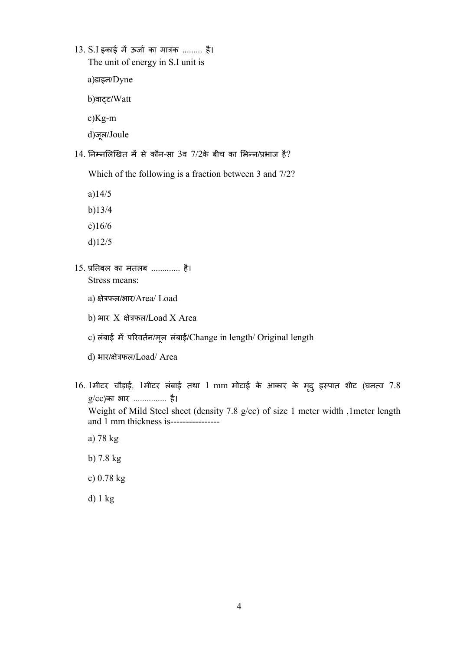13. S.I इकाई में ऊर्जा का मात्रक ......... है। The unit of energy in S.I unit is

a)डाइन/Dyne

b)वाट्ट/Watt

c)Kg-m

d)जू ल/Joule

 $14$ . निम्नलिखित में से कौन-सा 3व  $7/2$ के बीच का भिन्न/प्रभाज है?

Which of the following is a fraction between 3 and 7/2?

a)14/5

- b)13/4
- c)16/6
- d)12/5
- 15. तबल का मतलब ............. है। Stress means:
	- a) क्षेत्रफल/भार/Area/ Load
	- $b)$  भार X क्षेत्रफल/Load X Area
	- c) लंबाई में परिवर्तन/मूल लंबाई/Change in length/ Original length
	- d) भार/क्षेत्रफल/Load/ Area
- $16.$  1मीटर चौड़ाई, 1मीटर लंबाई तथा 1 mm मोटाई के आकार के मृद् इस्पात शीट (घनत्व  $7.8$ g/cc)का भार ............... है। Weight of Mild Steel sheet (density 7.8 g/cc) of size 1 meter width ,1meter length and 1 mm thickness is---------------
	- a) 78 kg
	- b) 7.8 kg
	- c) 0.78 kg
	- d) 1 kg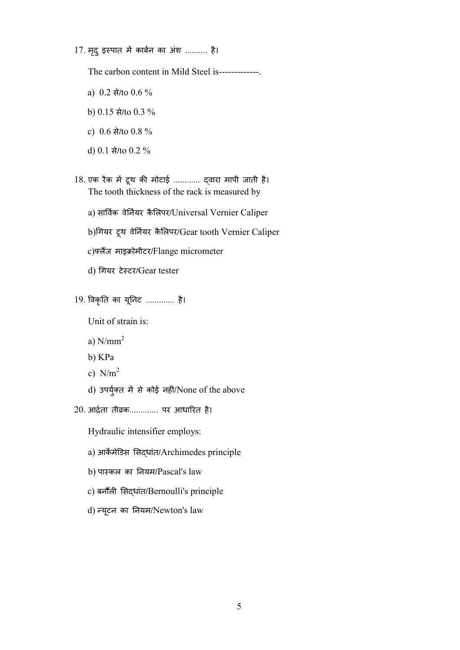17. मृद् इस्पात में कार्बन का अंश .......... है।

The carbon content in Mild Steel is-------------.

- a) 0.2 से/to 0.6 %
- b) 0.15 से/to 0.3 %
- c) 0.6 से/to 0.8 %
- d) 0.1 से/to 0.2 %
- 18. एक रैक में टूथ की मोटाई ............ द्वारा मापी जाती है। The tooth thickness of the rack is measured by
	- a) सार्विक वेर्नियर कैलिपर/Universal Vernier Caliper
	- b)गयर टूथ वेनयर कै लपर/Gear tooth Vernier Caliper
	- c)फ्लैंज माइक्रोमीटर/Flange micrometer
	- d) गयर टेटर/Gear tester
- 19. वकृत का यूनट ............. है।

Unit of strain is:

- a)  $N/mm^2$
- b) KPa
- c)  $N/m<sup>2</sup>$
- d) उपर्युक्त में से कोई नहीं/None of the above
- 20. आर्द्रता तीव्रक............. पर आधारित है।
	- Hydraulic intensifier employs:
	- a) आर्केमेडिस सिद्धांत/Archimedes principle
	- b) पाकल का नयम/Pascal's law
	- c) बर्नौली सिदधांत/Bernoulli's principle
	- d) यू टन का नयम/Newton's law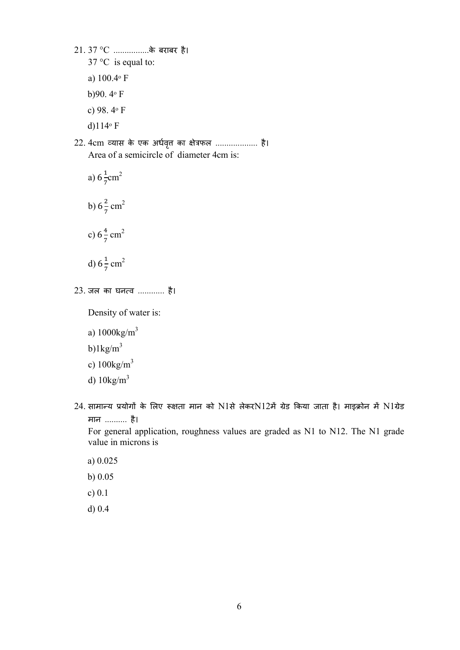21. 37 °C ................के बराबर है।

- $37^{\circ}$ C is equal to:
- a)  $100.4$ <sup>o</sup> F
- b)90.  $4°$  F
- c) 98. 4ᵒ F
- d) $114°$  F
- 22. 4cm व्यास के एक अर्धवृत्त का क्षेत्रफल .................... है। Area of a semicircle of diameter 4cm is:
	- a)  $6\frac{1}{7}$ cm<sup>2</sup>
	- b)  $6\frac{2}{7}$  cm<sup>2</sup>
	- c)  $6\frac{4}{7}$  cm<sup>2</sup>
	- d)  $6\frac{1}{7}$  cm<sup>2</sup>
- 23. जल का घनव ............ है।

Density of water is:

- a) 1000kg/m<sup>3</sup>
- b) $1\text{kg/m}^3$
- c)  $100\text{kg/m}^3$
- d) 10kg/m<sup>3</sup>
- $24$ . सामान्य प्रयोगों के लिए रूक्षता मान को N1से लेकरN12में ग्रेड किया जाता है। माइक्रोन में N1ग्रेड मान .......... है।

For general application, roughness values are graded as N1 to N12. The N1 grade value in microns is

- a) 0.025
- b) 0.05
- c) 0.1
- d) 0.4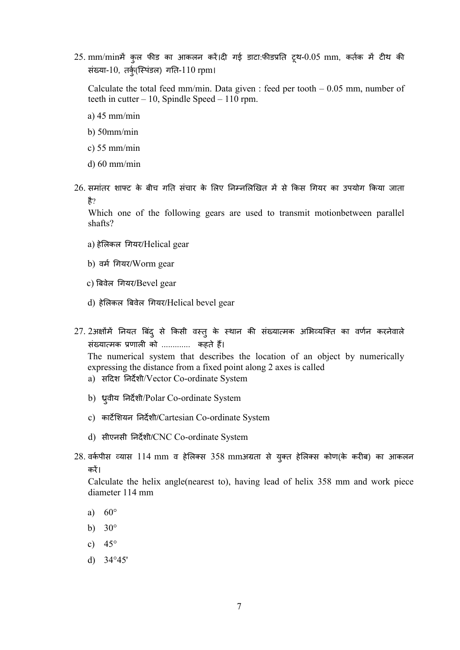$25.$  mm/minमें कुल फीड का आकलन करें।दी गई डाटा:फीडप्रति ट्थ- $0.05$  mm, कर्तक में टीथ की संख्या-10, तर्कु(स्पिंडल) गति-110 rpm।

Calculate the total feed mm/min. Data given : feed per tooth  $-0.05$  mm, number of teeth in cutter – 10, Spindle Speed – 110 rpm.

- a) 45 mm/min
- b) 50mm/min
- c) 55 mm/min
- d) 60 mm/min
- $26$ . समांतर शाफ्ट के बीच गति संचार के लिए निम्नलिखित में से किस गियर का उपयोग किया जाता है?

Which one of the following gears are used to transmit motionbetween parallel shafts?

- a) हेलकल गयर/Helical gear
- b) वर्म गियर/Worm gear
- c) बवेल गयर/Bevel gear
- d) हेलकल बवेल गयर/Helical bevel gear
- 27.231क्षोंमें नियत बिंदु से किसी वस्तु के स्थान की संख्यात्मक अभिव्यक्ति का वर्णन करनेवाले संख्यात्मक प्रणाली को .............. कहते हैं।

The numerical system that describes the location of an object by numerically expressing the distance from a fixed point along 2 axes is called

- a) सदश नदशी/Vector Co-ordinate System
- b) ध्रुवीय निर्देशी/Polar Co-ordinate System
- c) कार्टेशियन निर्देशी/Cartesian Co-ordinate System
- d) सीएनसी नदशी/CNC Co-ordinate System
- 28. वर्कपीस व्यास 114 mm व हेलिक्स 358 mmअग्रता से युक्त हेलिक्स कोण(के करीब) का आकलन कर।

Calculate the helix angle(nearest to), having lead of helix 358 mm and work piece diameter 114 mm

- a) 60°
- b)  $30^\circ$
- c)  $45^\circ$
- d) 34°45'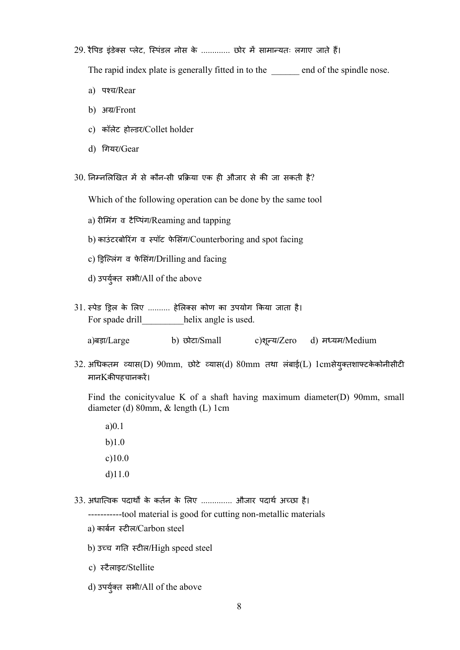## 29. रैपिड इंडेक्स प्लेट, स्पिंडल नोस के ............. छोर में सामान्यतः लगाए जाते हैं।

The rapid index plate is generally fitted in to the end of the spindle nose.

- a) पच/Rear
- **b) अग्र/Front**
- c) कॉलेट होडर/Collet holder
- d) गयर/Gear

 $30$ . निम्नलिखित में से कौन-सी प्रक्रिया एक ही औजार से की जा सकती है?

Which of the following operation can be done by the same tool

- a) रीमिंग व टैप्पिंग/Reaming and tapping
- b) काउंटरबोरिंग व स्पॉट फेसिंग/Counterboring and spot facing
- c) ड्रिल्लिंग व फेसिंग/Drilling and facing
- d) उपर्युक्त सभी/All of the above
- 31. स्पेड ड्रिल के लिए .......... हेलिक्स कोण का उपयोग किया जाता है। For spade drill helix angle is used.

a)बड़ा/Large b) छोटा/Small य/Zero d) मयम/Medium

32. अधकतम यास(D) 90mm, छोटे यास(d) 80mm तथा लंबाई(L) 1cmसेयु तशाटकेकोनीसीट मानKकपहचानकर।

Find the conicityvalue K of a shaft having maximum diameter(D) 90mm, small diameter (d) 80mm, & length (L) 1cm

- a)0.1 b)1.0 c)10.0 d)11.0
- 33. अधात्विक पदार्थों के कर्तन के लिए .............. औजार पदार्थ अच्छा है। -----------tool material is good for cutting non-metallic materials
	- a) कार्बन स्टील/Carbon steel
	- b) उच्च गति स्टील/High speed steel
	- c) टैलाइट/Stellite
	- d) उपर्युक्त सभी/All of the above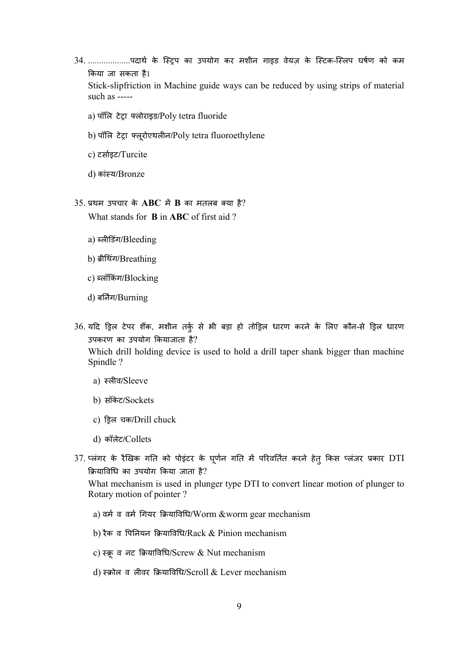34. ...................पदार्थ के स्ट्रिप का उपयोग कर मशीन गाइड वेयज़ के स्टिक-स्लिप घर्षण को कम कया जा सकता है।

Stick-slipfriction in Machine guide ways can be reduced by using strips of material such as -----

- a) पॉलि टेट्रा फ्लोराइड/Poly tetra fluoride
- b) पॉलि टेट्रा फ्लूरोएथलीन/Poly tetra fluoroethylene
- c) टसाइट/Turcite
- d) कांय/Bronze
- $35.$  प्रथम उपचार के ABC में B का मतलब क्या है?

What stands for **B** in **ABC** of first aid ?

- a) ब्लीडिंग/Bleeding
- b) ब्रीथिंग/Breathing
- c) लॉकंग/Blocking
- d) बर्निंग/Burning
- 36. यदि ड्रिल टेपर शैंक, मशीन तर्कु से भी बड़ा हो तोड़िल धारण करने के लिए कौन-से ड्रिल धारण उपकरण का उपयोग कयाजाता है?

Which drill holding device is used to hold a drill taper shank bigger than machine Spindle ?

- a) स्लीव/Sleeve
- b) सॉकेट/Sockets
- c) ड़िल चक/Drill chuck
- d) कॉलेट/Collets
- 37. प्लंगर के रैखिक गति को पोइंटर के घूर्णन गति में परिवर्तित करने हेतु किस प्लंजर प्रकार DTI यावध का उपयोग कया जाता है?

What mechanism is used in plunger type DTI to convert linear motion of plunger to Rotary motion of pointer ?

- a) वर्म व वर्म गियर क्रियाविधि/Worm &worm gear mechanism
- b) रैक व पिनियन क्रियाविधि/Rack  $&$  Pinion mechanism
- c) स्क्रूव नट क्रियाविधि/Screw & Nut mechanism
- d) स्क्रोल व लीवर क्रियाविधि/Scroll & Lever mechanism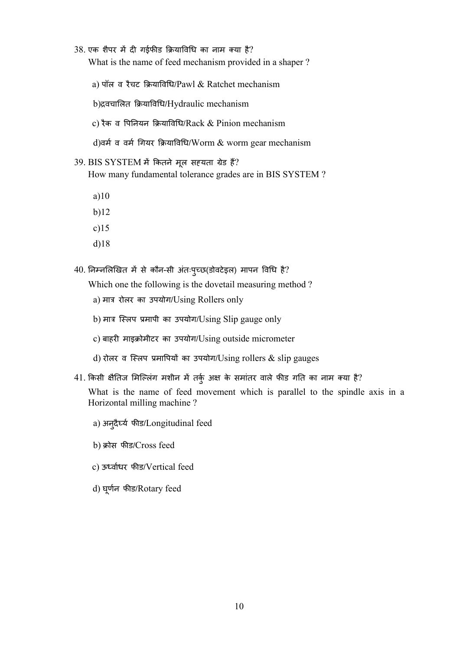$38$ . एक शैपर में दी गईफीड क्रियाविधि का नाम क्या है? What is the name of feed mechanism provided in a shaper ?

a) पॉल व रैचट क्रियाविधि/Pawl & Ratchet mechanism

b)द्रवचालित क्रियाविधि/Hydraulic mechanism

c) रैक व पिनियन क्रियाविधि/Rack  $&$  Pinion mechanism

d)वर्म व वर्म गियर क्रियाविधि/Worm & worm gear mechanism

39. BIS SYSTEM में कितने मूल सहयता ग्रेड हैं?

How many fundamental tolerance grades are in BIS SYSTEM ?

a)10

b)12

c)15

d)18

40. निम्नलिखित में से कौन-सी अंतःपुच्छ(डोवटेइल) मापन विधि है?

Which one the following is the dovetail measuring method ?

- a) मात्र रोलर का उपयोग/Using Rollers only
- b) मात्र स्लिप प्रमापी का उपयोग/Using Slip gauge only
- c) बाहरी माइक्रोमीटर का उपयोग/Using outside micrometer
- d) रोलर व स्लिप प्रमापियों का उपयोग/Using rollers  $\&$  slip gauges
- $41$ . किसी क्षैतिज मिल्लिंग मशीन में तर्कु अक्ष के समांतर वाले फीड गति का नाम क्या है?

What is the name of feed movement which is parallel to the spindle axis in a Horizontal milling machine ?

- a) अनुदैर्घ्य फीड/Longitudinal feed
- b) क्रोस फीड/Cross feed
- c) ऊवाधर फड/Vertical feed
- d) घू णन फड/Rotary feed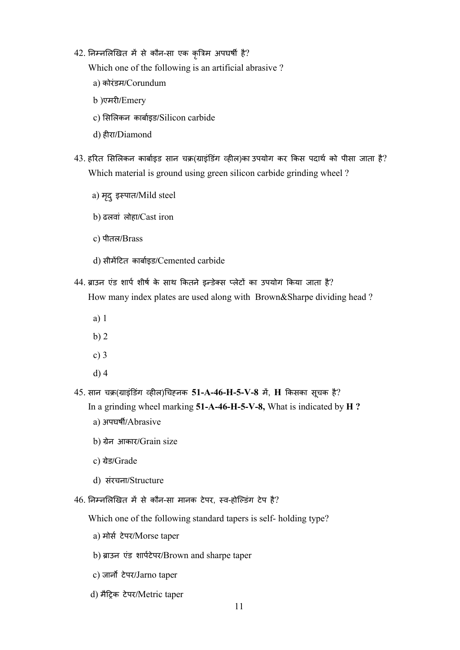## 42. निम्नलिखित में से कौन-सा एक कृत्रिम अपघर्षी है?

Which one of the following is an artificial abrasive ?

- a) कोरंडम/Corundum
- b )एमर/Emery
- c) सलकन काबाइड/Silicon carbide
- d) हरा/Diamond
- $43.$  हरित सिलिकन कार्बाइड सान चक्र(ग्राइंडिंग व्हील)का उपयोग कर किस पदार्थ को पीसा जाता है? Which material is ground using green silicon carbide grinding wheel ?
	- a) मृदु इस्पात/Mild steel
	- b) ढलवां लोहा/Cast iron
	- c) पीतल/Brass
	- d) सीमटत काबाइड/Cemented carbide
- 44. ब्राउन एंड शार्प शीर्ष के साथ कितने इन्डेक्स प्लेटों का उपयोग किया जाता है? How many index plates are used along with Brown&Sharpe dividing head ?
	- a) 1
	- b) 2
	- c) 3
	- d) 4
- $45$ . सान चक्र(ग्राइंडिंग व्हील)चिहनक  ${\bf 51\text{-}A\text{-}46\text{-}H\text{-}5\text{-}V\text{-}8}$  में,  ${\bf H}$  किसका सूचक है? In a grinding wheel marking 51-A-46-H-5-V-8, What is indicated by H ?
	- a) अपघर्षी/Abrasive
	- b) ग्रेन आकार/Grain size
	- c) ग्रेड/Grade
	- d) संरचना/Structure
- $46.$  निम्नलिखित में से कौन-सा मानक टेपर, स्व-होल्डिंग टेप है?

Which one of the following standard tapers is self- holding type?

- a) मोस टेपर/Morse taper
- b) ब्राउन एंड शार्पटेपर/Brown and sharpe taper
- c) जार्नो टेपर/Jarno taper
- d) मैट्रिक टेपर/Metric taper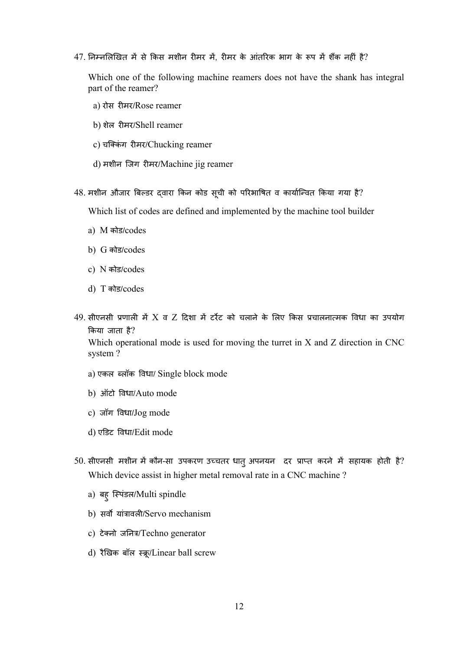$47$ . निम्नलिखित में से किस मशीन रीमर में, रीमर के आंतरिक भाग के रूप में शैंक नहीं है?

Which one of the following machine reamers does not have the shank has integral part of the reamer?

- a) रोस रमर/Rose reamer
- b) शेल रमर/Shell reamer
- c) चक्किंग रीमर/Chucking reamer
- d) मशीन जिग रीमर/Machine jig reamer
- 48. मशीन औजार बिल्डर द्वारा किन कोड सूची को परिभाषित व कार्यान्वित किया गया है?

Which list of codes are defined and implemented by the machine tool builder

- a) M कोड/codes
- b) G कोड/codes
- c) N कोड/codes
- d) T कोड/codes
- 49. सीएनसी प्रणाली में X व Z दिशा में टर्रेट को चलाने के लिए किस प्रचालनात्मक विधा का उपयोग कया जाता है?

Which operational mode is used for moving the turret in X and Z direction in CNC system ?

- a) एकल लॉक वधा/ Single block mode
- b) ऑटो वधा/Auto mode
- c) जॉग वधा/Jog mode
- d) एडट वधा/Edit mode
- $50$ . सीएनसी मशीन में कौन-सा उपकरण उच्चतर धात् अपनयन दर प्राप्त करने में सहायक होती है? Which device assist in higher metal removal rate in a CNC machine ?
	- a) बहु िपंडल/Multi spindle
	- b) सर्वो यांत्रावली/Servo mechanism
	- c) टेक्नो जनित्र/Techno generator
	- d) रैखिक बॉल स्क्रू/Linear ball screw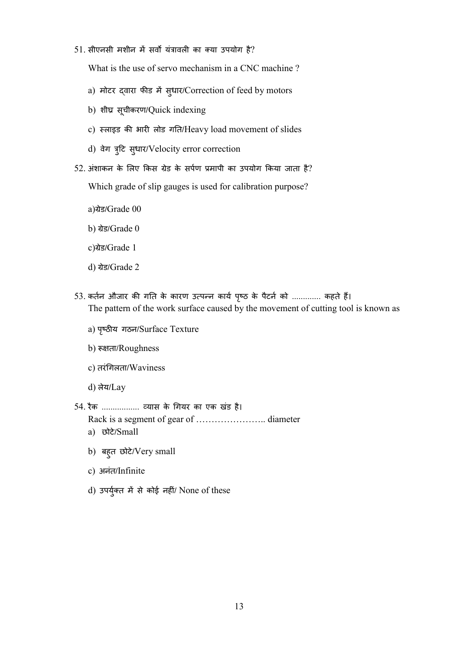$51.$  सीएनसी मशीन में सर्वो यंत्रावली का क्या उपयोग है?

What is the use of servo mechanism in a CNC machine ?

- a) मोटर द्वारा फीड में सुधार/Correction of feed by motors
- b) शीघ्र सूचीकरण/Quick indexing
- c) स्लाइड की भारी लोड गति/Heavy load movement of slides
- d) वेग त्रुटि सुधार/Velocity error correction
- $52$ . अंशाकन के लिए किस ग्रेड के सर्पण प्रमापी का उपयोग किया जाता है?

Which grade of slip gauges is used for calibration purpose?

- a)ेड/Grade 00
- b) ग्रेड/Grade 0
- c)ेड/Grade 1
- d) ग्रेड/Grade 2
- 53. कर्तन औजार की गति के कारण उत्पन्न कार्य पृष्ठ के पैटर्न को ............. कहते हैं। The pattern of the work surface caused by the movement of cutting tool is known as
	- a) पृष्ठीय गठन/Surface Texture
	- b) रूक्षता/Roughness
	- c) तरंगलता/Waviness
	- d) लेय/Lay
- 54. रैक ................. यास के गयर का एक खंड है। Rack is a segment of gear of ………………….. diameter
	- a) छोटे/Small
	- b) बहु त छोटे/Very small
	- c) अनंत/Infinite
	- d) उपर्युक्त में से कोई नहीं/ None of these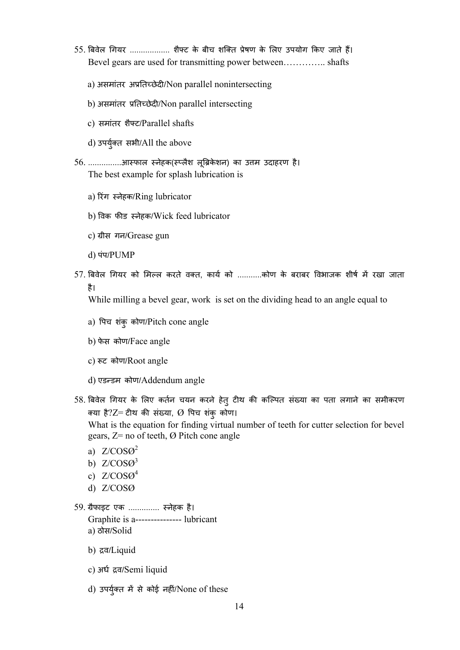- 55. बिवेल गियर ................... शैफ्ट के बीच शक्ति प्रेषण के लिए उपयोग किए जाते हैं। Bevel gears are used for transmitting power between………….. shafts
	- a) असमांतर अप्रतिच्छेदी/Non parallel nonintersecting
	- b) असमांतर प्रतिच्छेदी/Non parallel intersecting
	- c) समांतर शैट/Parallel shafts
	- d) उपयुत सभी/All the above

56. ...............आस्फाल स्नेहक(स्प्लैश लूब्रिकेशन) का उत्तम उदाहरण है। The best example for splash lubrication is

- a) रंग नेहक/Ring lubricator
- b) वक फड नेहक/Wick feed lubricator
- c) ग्रीस गन/Grease gun
- d) पंप/PUMP
- 57. बिवेल गियर को मिल्ल करते वक्त, कार्य को ...........कोण के बराबर विभाजक शीर्ष में रखा जाता है।

While milling a bevel gear, work is set on the dividing head to an angle equal to

- a) पच शंकु कोण/Pitch cone angle
- b) फेस कोण/Face angle
- c) रूट कोण/Root angle
- d) एडडम कोण/Addendum angle
- 58. बिवेल गियर के लिए कर्तन चयन करने हेतु टीथ की कल्पित संख्या का पता लगाने का समीकरण क्या है? $Z$ = टीथ की संख्या,  $\Omega$  पिच शंकु कोण।

What is the equation for finding virtual number of teeth for cutter selection for bevel gears,  $Z=$  no of teeth,  $\varnothing$  Pitch cone angle

- a)  $Z/COSO<sup>2</sup>$
- b)  $Z/COSO<sup>3</sup>$
- c)  $Z/COSO<sup>4</sup>$
- d) Z/COSØ
- 59. ैफाइट एक .............. नेहक है। Graphite is a--------------- lubricant a) ठोस/Solid
	- b) द्रव/Liquid
	- c) अध व/Semi liquid
	- d) उपर्युक्त में से कोई नहीं/None of these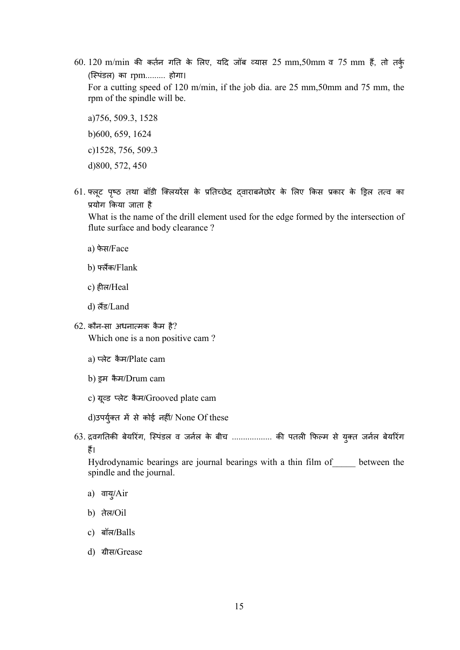$60. 120$  m/min की कर्तन गति के लिए, यदि जॉब व्यास  $25$  mm, $50$ mm व  $75$  mm हैं, तो तर्क् (िपंडल) का rpm......... होगा।

For a cutting speed of 120 m/min, if the job dia. are 25 mm,50mm and 75 mm, the rpm of the spindle will be.

a)756, 509.3, 1528 b)600, 659, 1624 c)1528, 756, 509.3 d)800, 572, 450

61. फ्लूट पृष्ठ तथा बॉडी क्लियरेंस के प्रतिच्छेद द्वाराबनेछोर के लिए किस प्रकार के ड्रिल तत्व का योग कया जाता है

What is the name of the drill element used for the edge formed by the intersection of flute surface and body clearance ?

- a) फेस/Face
- b) लक/Flank
- c) हल/Heal
- d) लड/Land
- $62.$  कौन-सा अधनात्मक कैम है?

Which one is a non positive cam ?

- a) प्लेट कैम/Plate cam
- b) इम कैम/Drum cam
- c) ग्रूव्ड प्लेट कैम/Grooved plate cam

 $d$ )उपर्युक्त में से कोई नहीं/ None Of these

63. द्रवगतिकी बेयरिंग, स्पिंडल व जर्नल के बीच .................. की पतली फिल्म से युक्त जर्नल बेयरिंग ह।

Hydrodynamic bearings are journal bearings with a thin film of\_\_\_\_\_ between the spindle and the journal.

- a) वायु/Air
- b) तेल/Oil
- c) बॉल/Balls
- d) ग्रीस/Grease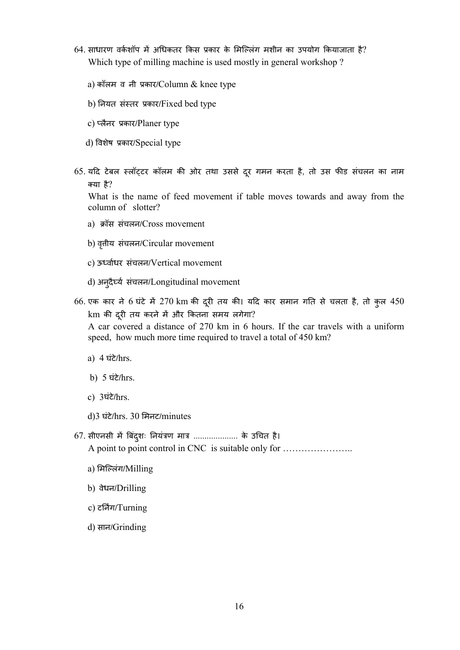- $64$ . साधारण वर्कशॉप में अधिकतर किस प्रकार के मिल्लिंग मशीन का उपयोग कियाजाता है? Which type of milling machine is used mostly in general workshop ?
	- a) कॉलम व नी कार/Column & knee type
	- b) नयत संतर कार/Fixed bed type
	- c) लैनर कार/Planer type
	- d) वशेष कार/Special type
- 65. यदि टेबल स्लॉट्टर कॉलम की ओर तथा उससे दूर गमन करता है, तो उस फीड संचलन का नाम या है?

What is the name of feed movement if table moves towards and away from the column of slotter?

- a) क्रॉस संचलन/Cross movement
- b) वृत्तीय संचलन/Circular movement
- c) ऊवाधर संचलन/Vertical movement
- d) अनु दैय संचलन/Longitudinal movement
- 66. एक कार ने 6 घंटे में 270 km की दूरी तय की। यदि कार समान गति से चलता है, तो कुल 450  ${\rm km}$  की दूरी तय करने में और कितना समय लगेगा? A car covered a distance of 270 km in 6 hours. If the car travels with a uniform

speed, how much more time required to travel a total of 450 km?

- a) 4 घंटे/hrs.
- b) 5 घंटे/hrs.
- c) 3घंटे/hrs.
- d)3 घंटे/hrs. 30 मनट/minutes
- $67$ . सीएनसी में बिंदुशः नियंत्रण मात्र ...................... के उचित है। A point to point control in CNC is suitable only for …………………..
	- a) मिलंग/Milling
	- b) वेधन/Drilling
	- c) टर्निंग/Turning
	- d) सान/Grinding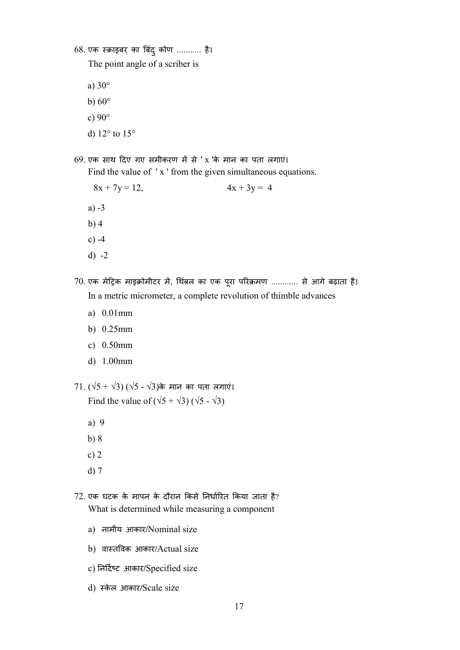$68.$  एक स्क्राइबर का बिंदु कोण ........... है। The point angle of a scriber is

a) 30°

- b)  $60^\circ$
- c) 90°
- d) 12° to 15°
- $69.$  एक साथ दिए गए समीकरण में से 'x 'के मान का पता लगाएं। Find the value of ' x ' from the given simultaneous equations.
	- $8x + 7y = 12$ ,  $4x + 3y = 4$
	- a) -3
	- b) 4
	- c) -4
	- d) -2
- 70. एक मेट्रिक माइक्रोमीटर में, थिंबल का एक पूरा परिक्रमण ............ से आगे बढ़ाता है। In a metric micrometer, a complete revolution of thimble advances
	- a) 0.01mm
	- b) 0.25mm
	- c) 0.50mm
	- d) 1.00mm
- 71. (√5 + √3) (√5 √3)के मान का पता लगाएं। Find the value of  $(\sqrt{5} + \sqrt{3}) (\sqrt{5} - \sqrt{3})$ 
	- a) 9
	- b) 8
	- c) 2
	- d) 7
- $72$ . एक घटक के मापन के दौरान किसे निर्धारित किया जाता है? What is determined while measuring a component
	- a) नामीय आकार/Nominal size
	- b) वातवक आकार/Actual size
	- c) निर्दिष्ट आकार/Specified size
	- d) स्केल आकार/Scale size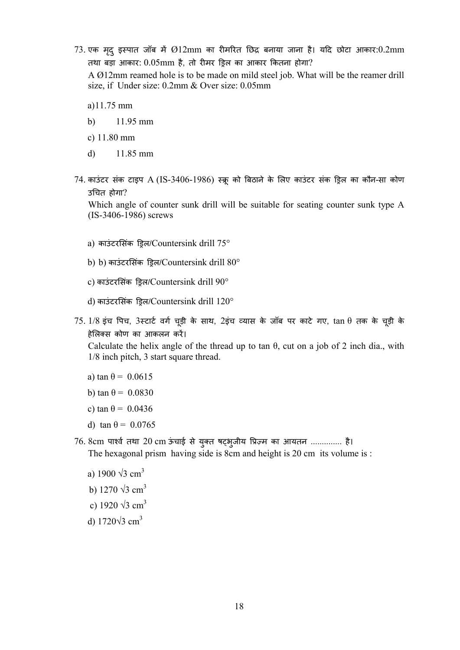$73$ . एक मृद् इस्पात जॉब में  $\emptyset12\text{mm}$  का रीमरित छिद्र बनाया जाना है। यदि छोटा आकार: $0.2\text{mm}$ तथा बड़ा आकार:  $0.05$ mm है, तो रीमर ड्रिल का आकार कितना होगा?

A Ø12mm reamed hole is to be made on mild steel job. What will be the reamer drill size, if Under size: 0.2mm & Over size: 0.05mm

a)11.75 mm

- b) 11.95 mm
- c) 11.80 mm
- d) 11.85 mm
- 74. काउंटर संक टाइप A (IS-3406-1986) स्क्रू को बिठाने के लिए काउंटर संक ड्रिल का कौन-सा कोण उचत होगा?

Which angle of counter sunk drill will be suitable for seating counter sunk type A (IS-3406-1986) screws

- a) काउंटरसिंक ड़िल/Countersink drill 75°
- b) b) काउंटरसिंक ड्रिल/Countersink drill 80°
- c) काउंटरसिंक ड्रिल/Countersink drill 90°
- d) काउंटरसिंक ड्रिल/Countersink drill 120°
- $75$ .  $1/8$  इंच पिच,  $3$ स्टार्ट वर्ग चूड़ी के साथ,  $2$ इंच व्यास के जॉब पर काटे गए,  $\tan\theta$  तक के चूड़ी के हेलस कोण का आकलन कर।

Calculate the helix angle of the thread up to tan  $\theta$ , cut on a job of 2 inch dia., with 1/8 inch pitch, 3 start square thread.

- a) tan  $\theta$  = 0.0615
- b) tan  $\theta$  = 0.0830
- c) tan  $\theta$  = 0.0436
- d) tan  $\theta$  = 0.0765
- 76. 8cm पार्श्व तथा 20 cm ऊंचाई से युक्त षट्भुजीय प्रिज़्म का आयतन .............. है। The hexagonal prism having side is 8cm and height is 20 cm its volume is :
	- a) 1900  $\sqrt{3}$  cm<sup>3</sup>
	- b)  $1270 \sqrt{3}$  cm<sup>3</sup>
	- c) 1920  $\sqrt{3}$  cm<sup>3</sup>
	- d) 1720√3 cm3